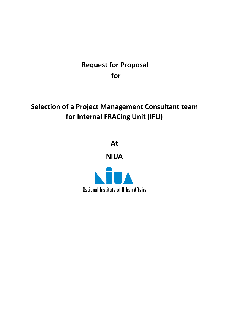### **Request for Proposal for**

## **Selection of a Project Management Consultant team for Internal FRACing Unit (IFU)**

**At**

**NIUA**

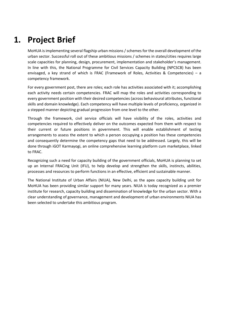## **1. Project Brief**

MoHUA is implementing several flagship urban missions / schemes for the overall development of the urban sector. Successful roll out of these ambitious missions / schemes in states/cities requires large scale capacities for planning, design, procurement, implementation and stakeholder's management. In line with this, the National Programme for Civil Services Capacity Building (NPCSCB) has been envisaged, a key strand of which is FRAC (Framework of Roles, Activities & Competencies) – a competency framework.

For every government post, there are roles; each role has activities associated with it; accomplishing each activity needs certain competencies. FRAC will map the roles and activities corresponding to every government position with their desired competencies (across behavioural attributes, functional skills and domain knowledge). Each competency will have multiple levels of proficiency, organized in a stepped manner depicting gradual progression from one level to the other.

Through the framework, civil service officials will have visibility of the roles, activities and competencies required to effectively deliver on the outcomes expected from them with respect to their current or future positions in government. This will enable establishment of testing arrangements to assess the extent to which a person occupying a position has these competencies and consequently determine the competency gaps that need to be addressed. Largely, this will be done through iGOT Karmayogi, an online comprehensive learning platform cum marketplace, linked to FRAC.

Recognizing such a need for capacity building of the government officials, MoHUA is planning to set up an Internal FRACing Unit (IFU), to help develop and strengthen the skills, instincts, abilities, processes and resources to perform functions in an effective, efficient and sustainable manner.

The National Institute of Urban Affairs (NIUA), New Delhi, as the apex capacity building unit for MoHUA has been providing similar support for many years. NIUA is today recognized as a premier institute for research, capacity building and dissemination of knowledge for the urban sector. With a clear understanding of governance, management and development of urban environments NIUA has been selected to undertake this ambitious program.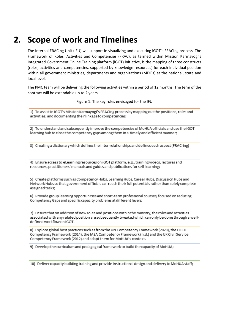## **2. Scope of work and Timelines**

The Internal FRACing Unit (IFU) will support in visualizing and executing iGOT's FRACing process. The Framework of Roles, Activities and Competencies (FRAC), as termed within Mission Karmayogi's Integrated Government Online Training platform (iGOT) initiative, is the mapping of three constructs (roles, activities and competencies, supported by knowledge resources) for each individual position within all government ministries, departments and organizations (MDOs) at the national, state and local level.

The PMC team will be delivering the following activities within a period of 12 months. The term of the contract will be extendable up to 2 years.

Figure 1: The key roles envisaged for the IFU

1) To assist in iGOT's Mission Karmayogi's FRACing process by mapping out the positions, roles and activities, and documenting their linkage to competencies;

2) To understand and subsequently improve the competencies of MoHUA officials and use the iGOT learning hub to close the competency gaps among them in a timely and efficient manner;

3) Creating a dictionary which defines the inter-relationships and defines each aspect (FRAC-ing)

4) Ensure access to eLearning resources on iGOT platform, e.g., training videos, lectures and resources, practitioners' manuals and guides and publications for self-learning;

5) Create platforms such as Competency Hubs, Learning Hubs, Career Hubs, Discussion Hubs and Network Hubs so that government officials can reach their full potentials rather than solely complete assigned tasks;

6) Provide group learning opportunities and short-term professional courses, focused on reducing Competency Gaps and specific capacity problems at different levels;

7) Ensure that on addition of new roles and positions within the ministry, the roles and activities associated with any related position are subsequently tweaked which can only be done through a welldefined workflow on iGOT.

8) Explore global best practices such as from the UN Competency Framework (2020), the OECD Competency Framework (2014), the IAEA Competency Framework (n.d.) and the UK Civil Service Competency Framework (2012) and adapt them for MoHUA's context.

9) Develop the curriculum and pedagogical framework to build the capacity of MoHUA;

10) Deliver capacity building training and provide instructional design and delivery to MoHUA staff;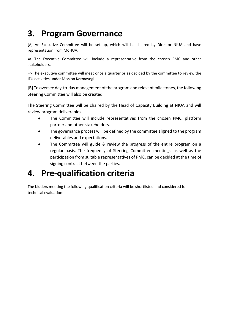## **3. Program Governance**

[A] An Executive Committee will be set up, which will be chaired by Director NIUA and have representation from MoHUA.

=> The Executive Committee will include a representative from the chosen PMC and other stakeholders.

=> The executive committee will meet once a quarter or as decided by the committee to review the IFU activities under Mission Karmayogi.

[B] To oversee day-to-day management of the program and relevant milestones, the following Steering Committee will also be created:

The Steering Committee will be chaired by the Head of Capacity Building at NIUA and will review program deliverables.

- The Committee will include representatives from the chosen PMC, platform partner and other stakeholders.
- The governance process will be defined by the committee aligned to the program deliverables and expectations.
- The Committee will guide & review the progress of the entire program on a regular basis. The frequency of Steering Committee meetings, as well as the participation from suitable representatives of PMC, can be decided at the time of signing contract between the parties.

## **4. Pre-qualification criteria**

The bidders meeting the following qualification criteria will be shortlisted and considered for technical evaluation: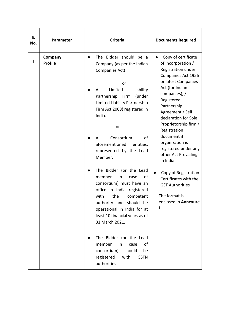| S.<br>No.    | Parameter                 | <b>Criteria</b>                                                                                                                                                                                                                                                                                                                                                                                          | <b>Documents Required</b>                                                                                                                                                                                                                                                                                                                            |
|--------------|---------------------------|----------------------------------------------------------------------------------------------------------------------------------------------------------------------------------------------------------------------------------------------------------------------------------------------------------------------------------------------------------------------------------------------------------|------------------------------------------------------------------------------------------------------------------------------------------------------------------------------------------------------------------------------------------------------------------------------------------------------------------------------------------------------|
| $\mathbf{1}$ | Company<br><b>Profile</b> | The Bidder should be a<br>$\bullet$<br>Company (as per the Indian<br>Companies Act)<br>or<br>Limited<br>Liability<br>A<br>Partnership<br>Firm<br>(under<br>Limited Liability Partnership<br>Firm Act 2008) registered in<br>India.<br>or<br>Consortium<br>of<br>A<br>aforementioned<br>entities,<br>represented by the Lead<br>Member.<br>in India                                                       | Copy of certificate<br>of Incorporation /<br>Registration under<br>Companies Act 1956<br>or latest Companies<br>Act (for Indian<br>companies); /<br>Registered<br>Partnership<br>Agreement / Self<br>declaration for Sole<br>Proprietorship firm /<br>Registration<br>document if<br>organization is<br>registered under any<br>other Act Prevailing |
|              |                           | The Bidder (or the Lead<br>member<br>in<br>of<br>case<br>consortium) must have an<br>office in India registered<br>with<br>the<br>competent<br>authority and should<br>be<br>operational in India for at<br>least 10 financial years as of<br>31 March 2021.<br>The Bidder (or the Lead<br>member<br>in<br>of<br>case<br>should<br>consortium)<br>be<br>registered<br>with<br><b>GSTN</b><br>authorities | Copy of Registration<br>$\bullet$<br>Certificates with the<br><b>GST Authorities</b><br>The format is<br>enclosed in Annexure                                                                                                                                                                                                                        |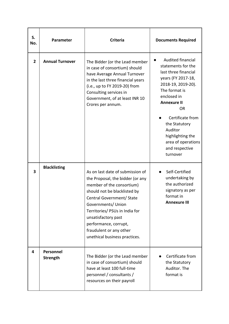| S.<br>No.      | Parameter                    | <b>Criteria</b>                                                                                                                                                                                                                                                                                                                    | <b>Documents Required</b>                                                                                                                                                                                                                                                                              |
|----------------|------------------------------|------------------------------------------------------------------------------------------------------------------------------------------------------------------------------------------------------------------------------------------------------------------------------------------------------------------------------------|--------------------------------------------------------------------------------------------------------------------------------------------------------------------------------------------------------------------------------------------------------------------------------------------------------|
| $\overline{2}$ | <b>Annual Turnover</b>       | The Bidder (or the Lead member<br>in case of consortium) should<br>have Average Annual Turnover<br>in the last three financial years<br>(i.e., up to FY 2019-20) from<br>Consulting services in<br>Government, of at least INR 10<br>Crores per annum.                                                                             | Audited financial<br>statements for the<br>last three financial<br>years (FY 2017-18,<br>2018-19, 2019-20).<br>The format is<br>enclosed in<br><b>Annexure II</b><br><b>OR</b><br>Certificate from<br>the Statutory<br>Auditor<br>highlighting the<br>area of operations<br>and respective<br>turnover |
| 3              | <b>Blacklisting</b>          | As on last date of submission of<br>the Proposal, the bidder (or any<br>member of the consortium)<br>should not be blacklisted by<br>Central Government/ State<br>Governments/ Union<br>Territories/ PSUs in India for<br>unsatisfactory past<br>performance, corrupt,<br>fraudulent or any other<br>unethical business practices. | Self-Certified<br>undertaking by<br>the authorized<br>signatory as per<br>format in<br><b>Annexure III</b>                                                                                                                                                                                             |
| 4              | Personnel<br><b>Strength</b> | The Bidder (or the Lead member<br>in case of consortium) should<br>have at least 100 full-time<br>personnel / consultants /<br>resources on their payroll                                                                                                                                                                          | Certificate from<br>the Statutory<br>Auditor. The<br>format is                                                                                                                                                                                                                                         |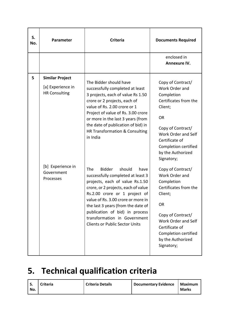| S.<br>No. | Parameter                                                                                                           | <b>Criteria</b>                                                                                                                                                                                                                                                                                                                                                                                                     | <b>Documents Required</b>                                                                                                                                                                                                                                          |
|-----------|---------------------------------------------------------------------------------------------------------------------|---------------------------------------------------------------------------------------------------------------------------------------------------------------------------------------------------------------------------------------------------------------------------------------------------------------------------------------------------------------------------------------------------------------------|--------------------------------------------------------------------------------------------------------------------------------------------------------------------------------------------------------------------------------------------------------------------|
|           |                                                                                                                     |                                                                                                                                                                                                                                                                                                                                                                                                                     | enclosed in<br><b>Annexure IV.</b>                                                                                                                                                                                                                                 |
| 5         | <b>Similar Project</b><br>[a] Experience in<br><b>HR Consulting</b><br>[b] Experience in<br>Government<br>Processes | The Bidder should have<br>successfully completed at least<br>3 projects, each of value Rs 1.50<br>crore or 2 projects, each of<br>value of Rs. 2.00 crore or 1<br>Project of value of Rs. 3.00 crore<br>or more in the last 3 years (from<br>the date of publication of bid) in<br>HR Transformation & Consulting<br>in India<br><b>The</b><br><b>Bidder</b><br>should<br>have<br>successfully completed at least 3 | Copy of Contract/<br>Work Order and<br>Completion<br>Certificates from the<br>Client;<br><b>OR</b><br>Copy of Contract/<br>Work Order and Self<br>Certificate of<br>Completion certified<br>by the Authorized<br>Signatory;<br>Copy of Contract/<br>Work Order and |
|           |                                                                                                                     | projects, each of value Rs.1.50<br>crore, or 2 projects, each of value<br>Rs.2.00 crore or 1 project of<br>value of Rs. 3.00 crore or more in<br>the last 3 years (from the date of<br>publication of bid) in process<br>transformation in Government<br><b>Clients or Public Sector Units</b>                                                                                                                      | Completion<br>Certificates from the<br>Client;<br>OR<br>Copy of Contract/<br>Work Order and Self<br>Certificate of<br>Completion certified<br>by the Authorized<br>Signatory;                                                                                      |

# **5. Technical qualification criteria**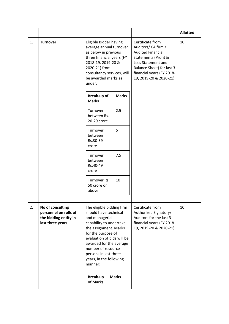|    |                                                                                        |                                                                                                                                                                                                                                                                                              |              |                                                                                                                                                                                                        | <b>Allotted</b> |
|----|----------------------------------------------------------------------------------------|----------------------------------------------------------------------------------------------------------------------------------------------------------------------------------------------------------------------------------------------------------------------------------------------|--------------|--------------------------------------------------------------------------------------------------------------------------------------------------------------------------------------------------------|-----------------|
| 1. | <b>Turnover</b>                                                                        | Eligible Bidder having<br>average annual turnover<br>as below in previous<br>three financial years (FY<br>2018-19, 2019-20 &<br>2020-21) from<br>consultancy services, will<br>be awarded marks as<br>under:                                                                                 |              | Certificate from<br>Auditors/ CA firm /<br><b>Audited Financial</b><br>Statements (Profit &<br>Loss Statement and<br>Balance Sheet) for last 3<br>financial years (FY 2018-<br>19, 2019-20 & 2020-21). | 10              |
|    |                                                                                        | <b>Break-up of</b><br><b>Marks</b>                                                                                                                                                                                                                                                           | <b>Marks</b> |                                                                                                                                                                                                        |                 |
|    |                                                                                        | Turnover<br>between Rs.<br>20-29 crore                                                                                                                                                                                                                                                       | 2.5          |                                                                                                                                                                                                        |                 |
|    |                                                                                        | Turnover<br>between<br>Rs.30-39<br>crore                                                                                                                                                                                                                                                     | 5            |                                                                                                                                                                                                        |                 |
|    |                                                                                        | Turnover<br>between<br>Rs.40-49<br>crore                                                                                                                                                                                                                                                     | 7.5          |                                                                                                                                                                                                        |                 |
|    |                                                                                        | Turnover Rs.<br>50 crore or<br>above                                                                                                                                                                                                                                                         | 10           |                                                                                                                                                                                                        |                 |
| 2. | No of consulting<br>personnel on rolls of<br>the bidding entity in<br>last three years | The eligible bidding firm<br>should have technical<br>and managerial<br>capability to undertake<br>the assignment. Marks<br>for the purpose of<br>evaluation of bids will be<br>awarded for the average<br>number of resource<br>persons in last three<br>years, in the following<br>manner: |              | Certificate from<br>Authorized Signatory/<br>Auditors for the last 3<br>financial years (FY 2018-<br>19, 2019-20 & 2020-21).                                                                           | 10              |
|    |                                                                                        | <b>Break-up</b><br>of Marks                                                                                                                                                                                                                                                                  | <b>Marks</b> |                                                                                                                                                                                                        |                 |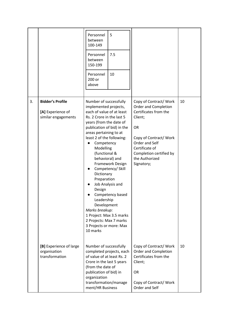|    |                                                                     | Personnel<br>between<br>100-149<br>Personnel<br>between<br>150-199<br>Personnel<br>200 or<br>above                                                                                                                                                                                                                                                                                                                                                                                               | 5<br>7.5<br>10                                            |                                                                                                                                                                                                                 |    |
|----|---------------------------------------------------------------------|--------------------------------------------------------------------------------------------------------------------------------------------------------------------------------------------------------------------------------------------------------------------------------------------------------------------------------------------------------------------------------------------------------------------------------------------------------------------------------------------------|-----------------------------------------------------------|-----------------------------------------------------------------------------------------------------------------------------------------------------------------------------------------------------------------|----|
| 3. | <b>Bidder's Profile</b><br>[A] Experience of<br>similar engagements | Number of successfully<br>implemented projects,<br>each of value of at least<br>Rs. 2 Crore in the last 5<br>years (from the date of<br>publication of bid) in the<br>areas pertaining to at<br>least 2 of the following:<br>Competency<br>Modelling<br>(functional &<br>behavioral) and<br>Dictionary<br>Preparation<br>Job Analysis and<br>Design<br>Leadership<br>Development<br>Marks breakup:<br>1 Project: Max 3.5 marks<br>2 Projects: Max 7 marks<br>3 Projects or more: Max<br>10 marks | Framework Design<br>Competency/ Skill<br>Competency based | Copy of Contract/Work<br>Order and Completion<br>Certificates from the<br>Client;<br>OR<br>Copy of Contract/Work<br>Order and Self<br>Certificate of<br>Completion certified by<br>the Authorized<br>Signatory; | 10 |
|    | [B] Experience of large<br>organisation<br>transformation           | Number of successfully<br>completed projects, each<br>of value of at least Rs. 2<br>Crore in the last 5 years<br>(from the date of<br>publication of bid) in<br>organization<br>transformation/manage<br>ment/HR Business                                                                                                                                                                                                                                                                        |                                                           | Copy of Contract/Work<br>Order and Completion<br>Certificates from the<br>Client;<br><b>OR</b><br>Copy of Contract/Work<br>Order and Self                                                                       | 10 |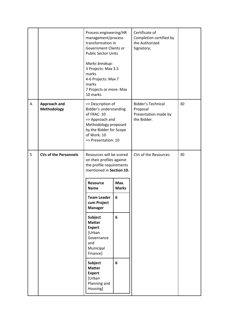|    |                              | Process engineering/HR<br>management/process<br>transformation in<br>Government Clients or<br><b>Public Sector Units</b><br>Marks breakup:<br>3 Projects: Max 3.5<br>marks<br>4-6 Projects: Max 7<br>marks<br>7 Projects or more: Max<br>10 marks |                      | Certificate of<br>Completion certified by<br>the Authorized<br>Signatory;    |    |
|----|------------------------------|---------------------------------------------------------------------------------------------------------------------------------------------------------------------------------------------------------------------------------------------------|----------------------|------------------------------------------------------------------------------|----|
| 4. | Approach and<br>Methodology  | => Description of<br>Bidder's understanding<br>of FRAC: 10<br>=> Approach and<br>Methodology proposed<br>by the Bidder for Scope<br>of Work: 10<br>=> Presentation: 10                                                                            |                      | <b>Bidder's Technical</b><br>Proposal<br>Presentation made by<br>the Bidder. | 30 |
| 5  | <b>CVs of the Personnels</b> | Resources will be scored<br>on their profiles against<br>the profile requirements<br>mentioned in Section 10.                                                                                                                                     |                      | CVs of the Resources                                                         | 30 |
|    |                              | <b>Resource</b><br><b>Name</b>                                                                                                                                                                                                                    | Max.<br><b>Marks</b> |                                                                              |    |
|    |                              | <b>Team Leader</b><br>cum Project<br><b>Manager</b>                                                                                                                                                                                               | 6                    |                                                                              |    |
|    |                              | <b>Subject</b><br><b>Matter</b><br><b>Expert</b><br>[Urban<br>Governance<br>and<br>Municipal<br>Finance]                                                                                                                                          | 6                    |                                                                              |    |
|    |                              | <b>Subject</b><br><b>Matter</b><br><b>Expert</b><br>[Urban<br>Planning and<br>Housing]                                                                                                                                                            | 6                    |                                                                              |    |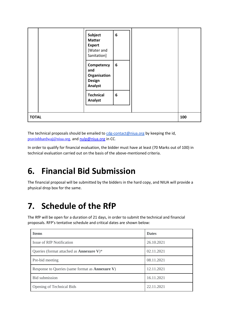|              | Subject<br><b>Matter</b><br><b>Expert</b><br>[Water and<br>Sanitation] | $\boldsymbol{6}$ |     |
|--------------|------------------------------------------------------------------------|------------------|-----|
|              | Competency<br>and<br>Organisation<br><b>Design</b><br><b>Analyst</b>   | $\boldsymbol{6}$ |     |
|              | <b>Technical</b><br>Analyst                                            | 6                |     |
| <b>TOTAL</b> |                                                                        |                  | 100 |

The technical proposals should be emailed to  $cdg$ -contact@niua.org by keeping the id, [pravinbhardwaj@niua.org,](mailto:pravinbhardwaj@niua.org) and [nulp@niua.org](mailto:nulp@niua.org) in CC.

In order to qualify for financial evaluation, the bidder must have at least (70 Marks out of 100) in technical evaluation carried out on the basis of the above-mentioned criteria.

# **6. Financial Bid Submission**

The financial proposal will be submitted by the bidders in the hard copy, and NIUA will provide a physical drop box for the same.

## **7. Schedule of the RfP**

The RfP will be open for a duration of 21 days, in order to submit the technical and financial proposals. RFP's tentative schedule and critical dates are shown below:

| <b>Items</b>                                            | <b>Dates</b> |
|---------------------------------------------------------|--------------|
| Issue of RfP Notification                               | 26.10.2021   |
| Queries (format attached as <b>Annexure V</b> )*        | 02.11.2021   |
| Pre-bid meeting                                         | 08.11.2021   |
| Response to Queries (same format as <b>Annexure V</b> ) | 12.11.2021   |
| <b>Bid</b> submission                                   | 16.11.2021   |
| Opening of Technical Bids                               | 22.11.2021   |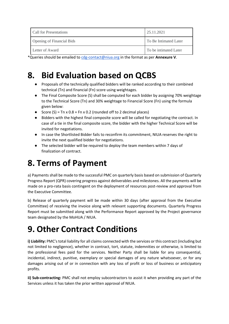| Call for Presentations           | 25.11.2021            |
|----------------------------------|-----------------------|
| <b>Opening of Financial Bids</b> | To Be Intimated Later |
| Letter of Award                  | To be intimated Later |

\*Queries should be emailed to [cdg-contact@niua.org](mailto:cdg-contact@niua.org) in the format as per **Annexure V**.

## **8. Bid Evaluation based on QCBS**

- Proposals of the technically qualified bidders will be ranked according to their combined technical (Tn) and financial (Fn) score using weightages.
- The Final Composite Score (S) shall be computed for each bidder by assigning 70% weightage to the Technical Score (Tn) and 30% weightage to Financial Score (Fn) using the formula given below:
- Score (S) =  $Tn x 0.8 + Fn x 0.2$  (rounded off to 2 decimal places)
- Bidders with the highest final composite score will be called for negotiating the contract. In case of a tie in the final composite score, the bidder with the higher Technical Score will be invited for negotiations.
- In case the Shortlisted Bidder fails to reconfirm its commitment, NIUA reserves the right to invite the next qualified bidder for negotiations.
- The selected bidder will be required to deploy the team members within 7 days of finalization of contract.

# **8. Terms of Payment**

a) Payments shall be made to the successful PMC on quarterly basis based on submission of Quarterly Progress Report (QPR) covering progress against deliverables and milestones. All the payments will be made on a pro-rata basis contingent on the deployment of resources post-review and approval from the Executive Committee.

b) Release of quarterly payment will be made within 30 days (after approval from the Executive Committee) of receiving the invoice along with relevant supporting documents. Quarterly Progress Report must be submitted along with the Performance Report approved by the Project governance team designated by the MoHUA / NIUA.

# **9. Other Contract Conditions**

**i) Liability:** PMC's total liability for all claims connected with the services or this contract (including but not limited to negligence), whether in contract, tort, statute, indemnities or otherwise, is limited to the professional fees paid for the services. Neither Party shall be liable for any consequential, incidental, indirect, punitive, exemplary or special damages of any nature whatsoever, or for any damages arising out of or in connection with any loss of profit or loss of business or anticipatory profits.

**ii) Sub-contracting:** PMC shall not employ subcontractors to assist it when providing any part of the Services unless it has taken the prior written approval of NIUA.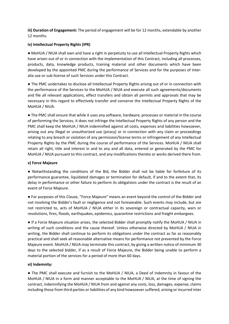**iii) Duration of Engagement:** The period of engagement will be for 12 months, extendable by another 12 months.

#### **iv) Intellectual Property Rights (IPR)**

● MoHUA / NIUA shall own and have a right in perpetuity to use all Intellectual Property Rights which have arisen out of or in connection with the implementation of this Contract, including all processes, products, data, knowledge products, training material and other documents which have been developed by the appointed PMC during the performance of Services and for the purposes of interalia use or sub-license of such Services under this Contract.

● The PMC undertakes to disclose all Intellectual Property Rights arising out of or in connection with the performance of the Services to the MoHUA / NIUA and execute all such agreements/documents and file all relevant applications, effect transfers and obtain all permits and approvals that may be necessary in this regard to effectively transfer and conserve the Intellectual Property Rights of the MoHUA / NIUA.

● The PMC shall ensure that while it uses any software, hardware, processes or material in the course of performing the Services, it does not infringe the Intellectual Property Rights of any person and the PMC shall keep the MoHUA / NIUA indemnified against all costs, expenses and liabilities howsoever, arising out any illegal or unauthorized use (piracy) or in connection with any claim or proceedings relating to any breach or violation of any permission/license terms or infringement of any Intellectual Property Rights by the PMC during the course of performance of the Services. MoHUA / NIUA shall retain all right, title and interest in and to any and all data, entered or generated by the PMC for MoHUA / NIUA pursuant to this contract, and any modifications thereto or works derived there from.

#### **v) Force Majeure**

● Notwithstanding the conditions of the Bid, the Bidder shall not be liable for forfeiture of its performance guarantee, liquidated damages or termination for default, if and to the extent that, its delay in performance or other failure to perform its obligations under the contract is the result of an event of Force Majeure.

● For purposes of this Clause, "Force Majeure" means an event beyond the control of the Bidder and not involving the Bidder's fault or negligence and not foreseeable. Such events may include, but are not restricted to, acts of MoHUA / NIUA either in its sovereign or contractual capacity, wars or revolutions, fires, floods, earthquakes, epidemics, quarantine restrictions and freight embargoes.

● If a Force Majeure situation arises, the selected Bidder shall promptly notify the MoHUA / NIUA in writing of such conditions and the cause thereof. Unless otherwise directed by MoHUA / NIUA in writing, the Bidder shall continue to perform its obligations under the contract as far as reasonably practical and shall seek all reasonable alternative means for performance not prevented by the Force Majeure event. MoHUA / NIUA may terminate this contract, by giving a written notice of minimum 30 days to the selected bidder, if as a result of Force Majeure, the Bidder being unable to perform a material portion of the services for a period of more than 60 days.

#### **vi) Indemnity:**

● The PMC shall execute and furnish to the MoHUA / NIUA, a Deed of Indemnity in favour of the MoHUA / NIUA in a form and manner acceptable to the MoHUA / NIUA, at the time of signing the contract, indemnifying the MoHUA / NIUA from and against any costs, loss, damages, expense, claims including those from third parties or liabilities of any kind howsoever suffered, arising or incurred inter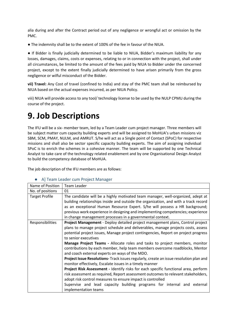alia during and after the Contract period out of any negligence or wrongful act or omission by the PMC.

● The indemnity shall be to the extent of 100% of the fee in favour of the NIUA.

● If Bidder is finally judicially determined to be liable to NIUA, Bidder's maximum liability for any losses, damages, claims, costs or expenses, relating to or in connection with the project, shall under all circumstances, be limited to the amount of the fees paid by NIUA to Bidder under the concerned project, except to the extent finally judicially determined to have arisen primarily from the gross negligence or wilful misconduct of the Bidder.

**vii) Travel:** Any Cost of travel (confined to India) and stay of the PMC team shall be reimbursed by NIUA based on the actual expenses incurred, as per NIUA Policy.

viii) NIUA will provide access to any tool/ technology license to be used by the NULP CPMU during the course of the project.

### **9. Job Descriptions**

The IFU will be a six- member team, led by a Team Leader cum project manager. Three members will be subject matter cum capacity building experts and will be assigned to MoHUA's urban missions viz SBM, SCM, PMAY, NULM, and AMRUT. S/he will act as a Single point of Contact (SPoC) for respective missions and shall also be sector specific capacity building experts. The aim of assigning individual SPoC is to enrich the schemes in a cohesive manner. The team will be supported by one Technical Analyst to take care of the technology related enablement and by one Organisational Design Analyst to build the competency database of MoHUA.

The job description of the IFU members are as follows:

| Name of Position      | Team Leader                                                                                                                                                                                                                                                                                                                                                                                                                                                                                                                                                                                                                                                                                                                                                                                                                                                                                                                                                                                       |
|-----------------------|---------------------------------------------------------------------------------------------------------------------------------------------------------------------------------------------------------------------------------------------------------------------------------------------------------------------------------------------------------------------------------------------------------------------------------------------------------------------------------------------------------------------------------------------------------------------------------------------------------------------------------------------------------------------------------------------------------------------------------------------------------------------------------------------------------------------------------------------------------------------------------------------------------------------------------------------------------------------------------------------------|
| No. of positions      | 01                                                                                                                                                                                                                                                                                                                                                                                                                                                                                                                                                                                                                                                                                                                                                                                                                                                                                                                                                                                                |
| <b>Target Profile</b> | The candidate will be a highly motivated team manager, well-organized, adept at<br>building relationships inside and outside the organization, and with a track record<br>as an exceptional Human Resource Expert. S/he will possess a HR background;<br>previous work experience in designing and implementing competencies; experience<br>in change management processes in a governmental context.                                                                                                                                                                                                                                                                                                                                                                                                                                                                                                                                                                                             |
| Responsibilities      | Project Management - Deploy detailed project management plans, Control project<br>plans to manage project schedule and deliverables, manage projects costs, assess<br>potential project issues, Manage project contingencies, Report on project progress<br>to senior executives<br>Manage Project Teams - Allocate roles and tasks to project members, monitor<br>contributions by each member, help team members overcome roadblocks, Mentor<br>and coach external experts on ways of the MDO.<br>Project Issue Resolutions-Track issues regularly, create an issue resolution plan and<br>monitor effectively, Escalate issues in a timely manner<br>Project Risk Assessment - Identify risks for each specific functional area, perform<br>risk assessment as required, Report assessment outcomes to relevant stakeholders,<br>adopt risk control measures to ensure impact is controlled<br>Supervise and lead capacity building programs for internal and external<br>implementation teams |

#### ● A] Team Leader cum Project Manager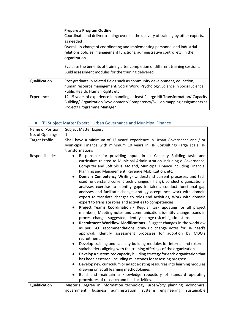|               | <b>Prepare a Program Outline</b>                                                    |
|---------------|-------------------------------------------------------------------------------------|
|               | Coordinate and deliver training; oversee the delivery of training by other experts, |
|               | as needed                                                                           |
|               | Overall, in-charge of coordinating and implementing personnel and industrial        |
|               | relations policies, management functions, administrative control etc. in the        |
|               | organization.                                                                       |
|               |                                                                                     |
|               | Evaluate the benefits of training after completion of different training sessions.  |
|               | Build assessment modules for the training delivered                                 |
| Qualification | Post-graduate in related fields such as community development, education,           |
|               | human resource management, Social Work, Psychology, Science in Social Science,      |
|               | Public Health, Human Rights etc.                                                    |
| Experience    | 12-15 years of experience in handling at least 2 large HR Transformation/ Capacity  |
|               | Building/Organization Development/Competency/Skill on mapping assignments as        |
|               | Project/Programme Manager                                                           |

### ● [B] Subject Matter Expert : Urban Governance and Municipal Finance

| Name of Position                          | <b>Subject Matter Expert</b>                                                                                                                                                                                                                                                                                                                                                                                                                                                                                                                                                                                                                                                                                                                                                                                                                                                                                                                                                                                                                                                                                                                                                                                                                                                                                                                                                                                                                                                                                                                                                                                                                                                                                    |  |  |  |  |  |  |
|-------------------------------------------|-----------------------------------------------------------------------------------------------------------------------------------------------------------------------------------------------------------------------------------------------------------------------------------------------------------------------------------------------------------------------------------------------------------------------------------------------------------------------------------------------------------------------------------------------------------------------------------------------------------------------------------------------------------------------------------------------------------------------------------------------------------------------------------------------------------------------------------------------------------------------------------------------------------------------------------------------------------------------------------------------------------------------------------------------------------------------------------------------------------------------------------------------------------------------------------------------------------------------------------------------------------------------------------------------------------------------------------------------------------------------------------------------------------------------------------------------------------------------------------------------------------------------------------------------------------------------------------------------------------------------------------------------------------------------------------------------------------------|--|--|--|--|--|--|
| No. of Openings                           | 1                                                                                                                                                                                                                                                                                                                                                                                                                                                                                                                                                                                                                                                                                                                                                                                                                                                                                                                                                                                                                                                                                                                                                                                                                                                                                                                                                                                                                                                                                                                                                                                                                                                                                                               |  |  |  |  |  |  |
| <b>Target Profile</b><br>Responsibilities | Shall have a minimum of 12 years' experience in Urban Governance and / or<br>Municipal Finance with minimum 10 years in HR Consulting/ large scale HR<br>transformations                                                                                                                                                                                                                                                                                                                                                                                                                                                                                                                                                                                                                                                                                                                                                                                                                                                                                                                                                                                                                                                                                                                                                                                                                                                                                                                                                                                                                                                                                                                                        |  |  |  |  |  |  |
|                                           | Responsible for providing inputs in all Capacity Building tasks and<br>curriculum related to Municipal Administration including e-Governance,<br>Computer and Soft Skills, etc and, Municipal Finance including Financial<br>Planning and Management, Revenue Mobilization, etc.<br>Domain Competency Writing- Understand current processes and tech<br>used, understand current tech changes (if any), conduct organizational<br>analyses exercise to identify gaps in talent, conduct functional gap<br>analyses and facilitate change strategy acceptance, work with domain<br>expert to translate changes to roles and activities, Work with domain<br>expert to translate roles and activities to competencies<br>Project Teams Coordination - Regular task updating for all project<br>members, Meeting notes and communication, identify change issues in<br>process changes suggested, Identify change risk mitigation steps<br>Recruitment Workflow Modifications - Suggest changes in the workflow<br>as per iGOT recommendations, draw up change notes for HR head's<br>approval, Identify assessment processes for adoption by MDO's<br>recruitment.<br>Develop training and capacity building modules for internal and external<br>stakeholders aligning with the training offerings of the organization<br>Develop a customized capacity building strategy for each organization that<br>has been assessed, including milestones for assessing progress<br>Develop new curriculum or adapt existing resources into learning modules<br>drawing on adult learning methodologies<br>Build and maintain a knowledge repository of standard operating<br>procedures of research and field activities. |  |  |  |  |  |  |
| Qualification                             | Master's Degree in information technology, urban/city planning, economics,<br>business<br>administration,<br>systems<br>government,<br>engineering,<br>sustainable                                                                                                                                                                                                                                                                                                                                                                                                                                                                                                                                                                                                                                                                                                                                                                                                                                                                                                                                                                                                                                                                                                                                                                                                                                                                                                                                                                                                                                                                                                                                              |  |  |  |  |  |  |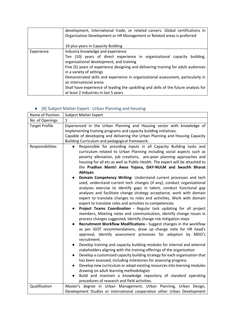|            | development, international trade, or related careers. Global certifications in<br>Organization Development or HR Management or Related areas is preferred<br>10 plus years in Capacity Building                                                                                                                                                                                                                                                                                                                                |
|------------|--------------------------------------------------------------------------------------------------------------------------------------------------------------------------------------------------------------------------------------------------------------------------------------------------------------------------------------------------------------------------------------------------------------------------------------------------------------------------------------------------------------------------------|
| Experience | Industry knowledge and experience<br>Ten (10) years of direct experience in organizational capacity<br>building.<br>organizational development, and training<br>Five (5) years of experience designing and delivering training for adult audiences<br>in a variety of settings<br>Demonstrated skills and experience in organizational assessment, particularly in<br>an international arena<br>Shall have experience of leading the upskilling and skills of the future analysis for<br>at least 2 industries in last 5 years |

### ● [B] Subject Matter Expert : Urban Planning and Housing

| Name of Position      | <b>Subject Matter Expert</b>                                                                                                                                                                                                                                                                                                                                                                                                                                                                                                                                                                                                                                                                                                                                                                                                                                                                                                                                                                                                                                                                                                                                                                                                                                                                                                                                                                                                                                                                                                                                                                                                                                                                                                                                                                                              |
|-----------------------|---------------------------------------------------------------------------------------------------------------------------------------------------------------------------------------------------------------------------------------------------------------------------------------------------------------------------------------------------------------------------------------------------------------------------------------------------------------------------------------------------------------------------------------------------------------------------------------------------------------------------------------------------------------------------------------------------------------------------------------------------------------------------------------------------------------------------------------------------------------------------------------------------------------------------------------------------------------------------------------------------------------------------------------------------------------------------------------------------------------------------------------------------------------------------------------------------------------------------------------------------------------------------------------------------------------------------------------------------------------------------------------------------------------------------------------------------------------------------------------------------------------------------------------------------------------------------------------------------------------------------------------------------------------------------------------------------------------------------------------------------------------------------------------------------------------------------|
| No. of Openings       | 1                                                                                                                                                                                                                                                                                                                                                                                                                                                                                                                                                                                                                                                                                                                                                                                                                                                                                                                                                                                                                                                                                                                                                                                                                                                                                                                                                                                                                                                                                                                                                                                                                                                                                                                                                                                                                         |
| <b>Target Profile</b> | Experienced in the Urban Planning and Housing sector with knowledge of<br>implementing training programs and capacity building initiatives.<br>Capable of developing and delivering the Urban Planning and Housing Capacity<br>Building Curriculum and pedagogical framework.                                                                                                                                                                                                                                                                                                                                                                                                                                                                                                                                                                                                                                                                                                                                                                                                                                                                                                                                                                                                                                                                                                                                                                                                                                                                                                                                                                                                                                                                                                                                             |
| Responsibilities      | Responsible for providing inputs in all Capacity Building tasks and<br>curriculum related to Urban Planning including social aspects such as<br>poverty alleviation, job creations, pro-poor planning approaches and<br>housing for all etc as well as Public Health. The expert will be attached to<br>the Pradhan Mantri Awas Yojana, DAY-NULM and Swachh Bharat<br>Abhiyan.<br>Domain Competency Writing- Understand current processes and tech<br>used, understand current tech changes (if any), conduct organizational<br>analyses exercise to identify gaps in talent, conduct functional gap<br>analyses and facilitate change strategy acceptance, work with domain<br>expert to translate changes to roles and activities, Work with domain<br>expert to translate roles and activities to competencies<br>Project Teams Coordination - Regular task updating for all project<br>members, Meeting notes and communication, identify change issues in<br>process changes suggested, Identify change risk mitigation steps<br>Recruitment Workflow Modifications - Suggest changes in the workflow<br>as per iGOT recommendations, draw up change note for HR head's<br>approval, Identify assessment processes for adoption by MDO's<br>recruitment.<br>Develop training and capacity building modules for internal and external<br>$\bullet$<br>stakeholders aligning with the training offerings of the organization<br>Develop a customized capacity building strategy for each organization that<br>has been assessed, including milestones for assessing progress<br>Develop new curriculum or adapt existing resources into learning modules<br>drawing on adult learning methodologies<br>Build and maintain a knowledge repository of standard operating<br>procedures of research and field activities. |
| Qualification         | Master's degree in Urban Management, Urban Planning, Urban Design,<br>Development Studies or international cooperation other Urban Development                                                                                                                                                                                                                                                                                                                                                                                                                                                                                                                                                                                                                                                                                                                                                                                                                                                                                                                                                                                                                                                                                                                                                                                                                                                                                                                                                                                                                                                                                                                                                                                                                                                                            |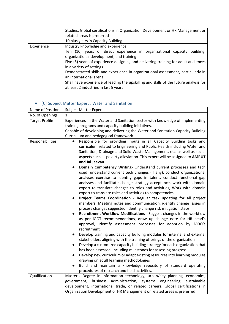|            | Studies. Global certifications in Organization Development or HR Management or                                          |  |  |  |  |  |  |
|------------|-------------------------------------------------------------------------------------------------------------------------|--|--|--|--|--|--|
|            | related areas is preferred                                                                                              |  |  |  |  |  |  |
|            | 10 plus years in Capacity Building                                                                                      |  |  |  |  |  |  |
| Experience | Industry knowledge and experience                                                                                       |  |  |  |  |  |  |
|            | Ten (10) years of direct experience in organizational capacity<br>building.<br>organizational development, and training |  |  |  |  |  |  |
|            | Five (5) years of experience designing and delivering training for adult audiences<br>in a variety of settings          |  |  |  |  |  |  |
|            | Demonstrated skills and experience in organizational assessment, particularly in<br>an international arena              |  |  |  |  |  |  |
|            | Shall have experience of leading the upskilling and skills of the future analysis for                                   |  |  |  |  |  |  |
|            | at least 2 industries in last 5 years                                                                                   |  |  |  |  |  |  |

#### ● [C] Subject Matter Expert : Water and Sanitation

| Name of Position      | <b>Subject Matter Expert</b>                                                                                                                                                                                                                                                                                                                                                                                                                                                                                                                                                                                                                                                                                                                                                                                                                                                                                                                                                                                                                                                                                                                                                                                                                                                                                                                                                                                                                                                                                                                                                                                                                                                                                                                             |  |  |  |  |  |
|-----------------------|----------------------------------------------------------------------------------------------------------------------------------------------------------------------------------------------------------------------------------------------------------------------------------------------------------------------------------------------------------------------------------------------------------------------------------------------------------------------------------------------------------------------------------------------------------------------------------------------------------------------------------------------------------------------------------------------------------------------------------------------------------------------------------------------------------------------------------------------------------------------------------------------------------------------------------------------------------------------------------------------------------------------------------------------------------------------------------------------------------------------------------------------------------------------------------------------------------------------------------------------------------------------------------------------------------------------------------------------------------------------------------------------------------------------------------------------------------------------------------------------------------------------------------------------------------------------------------------------------------------------------------------------------------------------------------------------------------------------------------------------------------|--|--|--|--|--|
| No. of Openings       | 1                                                                                                                                                                                                                                                                                                                                                                                                                                                                                                                                                                                                                                                                                                                                                                                                                                                                                                                                                                                                                                                                                                                                                                                                                                                                                                                                                                                                                                                                                                                                                                                                                                                                                                                                                        |  |  |  |  |  |
| <b>Target Profile</b> | Experienced in the Water and Sanitation sector with knowledge of implementing                                                                                                                                                                                                                                                                                                                                                                                                                                                                                                                                                                                                                                                                                                                                                                                                                                                                                                                                                                                                                                                                                                                                                                                                                                                                                                                                                                                                                                                                                                                                                                                                                                                                            |  |  |  |  |  |
|                       | training programs and capacity building initiatives.                                                                                                                                                                                                                                                                                                                                                                                                                                                                                                                                                                                                                                                                                                                                                                                                                                                                                                                                                                                                                                                                                                                                                                                                                                                                                                                                                                                                                                                                                                                                                                                                                                                                                                     |  |  |  |  |  |
|                       | Capable of developing and delivering the Water and Sanitation Capacity Building                                                                                                                                                                                                                                                                                                                                                                                                                                                                                                                                                                                                                                                                                                                                                                                                                                                                                                                                                                                                                                                                                                                                                                                                                                                                                                                                                                                                                                                                                                                                                                                                                                                                          |  |  |  |  |  |
|                       | Curriculum and pedagogical framework.                                                                                                                                                                                                                                                                                                                                                                                                                                                                                                                                                                                                                                                                                                                                                                                                                                                                                                                                                                                                                                                                                                                                                                                                                                                                                                                                                                                                                                                                                                                                                                                                                                                                                                                    |  |  |  |  |  |
| Responsibilities      | Responsible for providing inputs in all Capacity Building tasks and<br>curriculum related to Engineering and Public Health including Water and<br>Sanitation, Drainage and Solid Waste Management, etc. as well as social<br>aspects such as poverty alleviation. This expert will be assigned to AMRUT<br>and Jal Jeevan.<br>Domain Competency Writing- Understand current processes and tech<br>used, understand current tech changes (if any), conduct organizational<br>analyses exercise to identify gaps in talent, conduct functional gap<br>analyses and facilitate change strategy acceptance, work with domain<br>expert to translate changes to roles and activities, Work with domain<br>expert to translate roles and activities to competencies<br>Project Teams Coordination - Regular task updating for all project<br>members, Meeting notes and communication, identify change issues in<br>process changes suggested, Identify change risk mitigation steps<br>Recruitment Workflow Modifications - Suggest changes in the workflow<br>as per iGOT recommendations, draw up change note for HR head's<br>approval, Identify assessment processes for adoption by MDO's<br>recruitment.<br>Develop training and capacity building modules for internal and external<br>stakeholders aligning with the training offerings of the organization<br>Develop a customized capacity building strategy for each organization that<br>has been assessed, including milestones for assessing progress<br>Develop new curriculum or adapt existing resources into learning modules<br>drawing on adult learning methodologies<br>Build and maintain a knowledge repository of standard operating<br>procedures of research and field activities. |  |  |  |  |  |
| Qualification         | Master's Degree in information technology, urban/city planning, economics,                                                                                                                                                                                                                                                                                                                                                                                                                                                                                                                                                                                                                                                                                                                                                                                                                                                                                                                                                                                                                                                                                                                                                                                                                                                                                                                                                                                                                                                                                                                                                                                                                                                                               |  |  |  |  |  |
|                       | government,<br>business<br>administration, systems engineering,<br>sustainable                                                                                                                                                                                                                                                                                                                                                                                                                                                                                                                                                                                                                                                                                                                                                                                                                                                                                                                                                                                                                                                                                                                                                                                                                                                                                                                                                                                                                                                                                                                                                                                                                                                                           |  |  |  |  |  |
|                       | development, international trade, or related careers. Global certifications in                                                                                                                                                                                                                                                                                                                                                                                                                                                                                                                                                                                                                                                                                                                                                                                                                                                                                                                                                                                                                                                                                                                                                                                                                                                                                                                                                                                                                                                                                                                                                                                                                                                                           |  |  |  |  |  |
|                       | Organization Development or HR Management or related areas is preferred                                                                                                                                                                                                                                                                                                                                                                                                                                                                                                                                                                                                                                                                                                                                                                                                                                                                                                                                                                                                                                                                                                                                                                                                                                                                                                                                                                                                                                                                                                                                                                                                                                                                                  |  |  |  |  |  |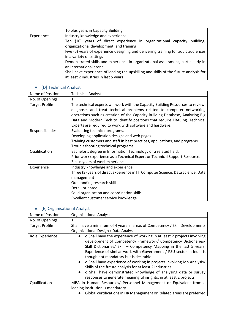|            | 10 plus years in Capacity Building                                                                             |  |  |  |  |  |  |
|------------|----------------------------------------------------------------------------------------------------------------|--|--|--|--|--|--|
| Experience | Industry knowledge and experience                                                                              |  |  |  |  |  |  |
|            | Ten (10) years of direct experience in organizational capacity<br>building,                                    |  |  |  |  |  |  |
|            | organizational development, and training                                                                       |  |  |  |  |  |  |
|            | Five (5) years of experience designing and delivering training for adult audiences<br>in a variety of settings |  |  |  |  |  |  |
|            |                                                                                                                |  |  |  |  |  |  |
|            | Demonstrated skills and experience in organizational assessment, particularly in                               |  |  |  |  |  |  |
|            | an international arena                                                                                         |  |  |  |  |  |  |
|            | Shall have experience of leading the upskilling and skills of the future analysis for                          |  |  |  |  |  |  |
|            | at least 2 industries in last 5 years                                                                          |  |  |  |  |  |  |

### ● [D] Technical Analyst

| Name of Position      | <b>Technical Analyst</b>                                                                                                                                                                                                                                                                                                                                                           |
|-----------------------|------------------------------------------------------------------------------------------------------------------------------------------------------------------------------------------------------------------------------------------------------------------------------------------------------------------------------------------------------------------------------------|
| No. of Openings       | 1                                                                                                                                                                                                                                                                                                                                                                                  |
| <b>Target Profile</b> | The technical experts will work with the Capacity Building Resources to review,<br>diagnose, and treat technical problems related to computer networking<br>operations such as creation of the Capacity Building Database, Analyzing Big<br>Data and Modern Tech to identify positions that require FRACing. Technical<br>Experts are required to work with software and hardware. |
| Responsibilities      | Evaluating technical programs.<br>Developing application designs and web pages.<br>Training customers and staff in best practices, applications, and programs.<br>Troubleshooting technical programs.                                                                                                                                                                              |
| Qualification         | Bachelor's degree in Information Technology or a related field.<br>Prior work experience as a Technical Expert or Technical Support Resource.<br>3 plus years of work experience                                                                                                                                                                                                   |
| Experience            | Industry knowledge and experience<br>Three (3) years of direct experience in IT, Computer Science, Data Science, Data<br>management<br>Outstanding research skills.<br>Detail-oriented.<br>Solid organization and coordination skills.<br>Excellent customer service knowledge.                                                                                                    |

### ● [E] Organisational Analyst

| Name of Position      | <b>Organisational Analyst</b>                                                                                                                                                                                                                                                                                                                                                                                                                                                                                                                                                                                      |
|-----------------------|--------------------------------------------------------------------------------------------------------------------------------------------------------------------------------------------------------------------------------------------------------------------------------------------------------------------------------------------------------------------------------------------------------------------------------------------------------------------------------------------------------------------------------------------------------------------------------------------------------------------|
| No. of Openings       |                                                                                                                                                                                                                                                                                                                                                                                                                                                                                                                                                                                                                    |
| <b>Target Profile</b> | Shall have a minimum of 4 years in areas of Competency / Skill Development/                                                                                                                                                                                                                                                                                                                                                                                                                                                                                                                                        |
|                       | Organizational Design / Data Analysis                                                                                                                                                                                                                                                                                                                                                                                                                                                                                                                                                                              |
| Role Experience       | • o Shall have the experience of working in at least 2 projects involving<br>development of Competency Framework/ Competency Dictionaries/<br>Skill Dictionaries/ Skill - Competency Mapping in the last 5 years.<br>Experience of similar work with Government / PSU sector in India is<br>though not mandatory but is desirable<br>• o Shall have experience of working in projects involving Job Analysis/<br>Skills of the future analysis for at least 2 industries<br>• o Shall have demonstrated knowledge of analyzing data or survey<br>responses to generate meaningful insights, in at least 2 projects |
| Qualification         | MBA in Human Resources/ Personnel Management or Equivalent from a                                                                                                                                                                                                                                                                                                                                                                                                                                                                                                                                                  |
|                       | leading institution is mandatory.                                                                                                                                                                                                                                                                                                                                                                                                                                                                                                                                                                                  |
|                       | Global certifications in HR Management or Related areas are preferred                                                                                                                                                                                                                                                                                                                                                                                                                                                                                                                                              |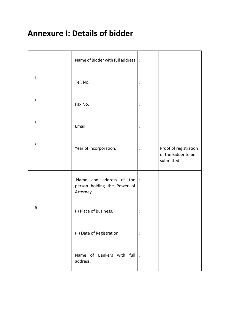## **Annexure I: Details of bidder**

|              | Name of Bidder with full address  :                                           |                |                                                           |
|--------------|-------------------------------------------------------------------------------|----------------|-----------------------------------------------------------|
| b            | Tel. No.                                                                      | $\ddot{\cdot}$ |                                                           |
| $\mathsf{C}$ | Fax No.                                                                       | $\vdots$       |                                                           |
| $\mathsf{d}$ | Email                                                                         | :              |                                                           |
| e            | Year of Incorporation.                                                        | :              | Proof of registration<br>of the Bidder to be<br>submitted |
|              | Name and address of the $\vert$ :<br>person holding the Power of<br>Attorney. |                |                                                           |
| g            | (i) Place of Business.                                                        | $\ddot{\cdot}$ |                                                           |
|              | (ii) Date of Registration.                                                    | $\ddot{\cdot}$ |                                                           |
|              | Name of Bankers with full $\vert$ :<br>address.                               |                |                                                           |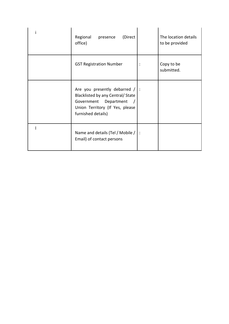| Regional<br>(Direct<br>presence<br>office)                                                                                                              |                | The location details<br>to be provided |
|---------------------------------------------------------------------------------------------------------------------------------------------------------|----------------|----------------------------------------|
| <b>GST Registration Number</b>                                                                                                                          | $\ddot{\cdot}$ | Copy to be<br>submitted.               |
| Are you presently debarred $/$ :<br>Blacklisted by any Central/ State<br>Government Department<br>Union Territory (If Yes, please<br>furnished details) |                |                                        |
| Name and details (Tel / Mobile /   :<br>Email) of contact persons                                                                                       |                |                                        |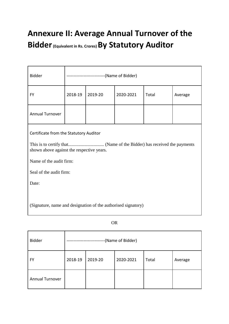# **Annexure II: Average Annual Turnover of the Bidder(Equivalent in Rs. Crores) By Statutory Auditor**

| <b>Bidder</b>                                                                                                                                      | ------------------------(Name of Bidder) |         |           |       |         |  |
|----------------------------------------------------------------------------------------------------------------------------------------------------|------------------------------------------|---------|-----------|-------|---------|--|
| FY                                                                                                                                                 | 2018-19                                  | 2019-20 | 2020-2021 | Total | Average |  |
| <b>Annual Turnover</b>                                                                                                                             |                                          |         |           |       |         |  |
| Certificate from the Statutory Auditor<br>shown above against the respective years.<br>Name of the audit firm:<br>Seal of the audit firm:<br>Date: |                                          |         |           |       |         |  |
| (Signature, name and designation of the authorised signatory)                                                                                      |                                          |         |           |       |         |  |

| <b>Bidder</b>          | -(Name of Bidder) |         |           |       |         |
|------------------------|-------------------|---------|-----------|-------|---------|
| <b>FY</b>              | 2018-19           | 2019-20 | 2020-2021 | Total | Average |
| <b>Annual Turnover</b> |                   |         |           |       |         |

OR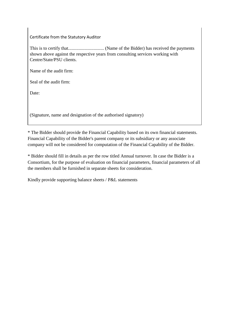Certificate from the Statutory Auditor

This is to certify that............................... (Name of the Bidder) has received the payments shown above against the respective years from consulting services working with Centre/State/PSU clients.

Name of the audit firm:

Seal of the audit firm:

Date:

(Signature, name and designation of the authorised signatory)

\* The Bidder should provide the Financial Capability based on its own financial statements. Financial Capability of the Bidder's parent company or its subsidiary or any associate company will not be considered for computation of the Financial Capability of the Bidder.

\* Bidder should fill in details as per the row titled Annual turnover. In case the Bidder is a Consortium, for the purpose of evaluation on financial parameters, financial parameters of all the members shall be furnished in separate sheets for consideration.

Kindly provide supporting balance sheets / P&L statements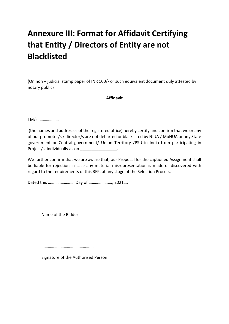# **Annexure III: Format for Affidavit Certifying that Entity / Directors of Entity are not Blacklisted**

(On non – judicial stamp paper of INR 100/- or such equivalent document duly attested by notary public)

#### **Affidavit**

I M/s. ………………

(the names and addresses of the registered office) hereby certify and confirm that we or any of our promoter/s / director/s are not debarred or blacklisted by NIUA / MoHUA or any State government or Central government/ Union Territory /PSU in India from participating in Project/s, individually as on  $\blacksquare$ 

We further confirm that we are aware that, our Proposal for the captioned Assignment shall be liable for rejection in case any material misrepresentation is made or discovered with regard to the requirements of this RFP, at any stage of the Selection Process.

Dated this ……………………. Day of …………………., 2021….

Name of the Bidder

………………………………………….

Signature of the Authorised Person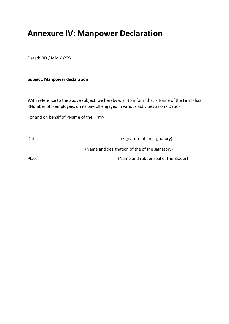### **Annexure IV: Manpower Declaration**

Dated: DD / MM / YYYY

#### **Subject: Manpower declaration**

With reference to the above subject, we hereby wish to inform that, <Name of the Firm> has <Number of > employees on its payroll engaged in various activities as on <Date>.

For and on behalf of <Name of the Firm>

Date: Contract Contract Contract Contract Contract Contract Contract Contract Contract Contract Contract Contract Contract Contract Contract Contract Contract Contract Contract Contract Contract Contract Contract Contract

(Name and designation of the of the signatory)

Place: (Name and rubber seal of the Bidder)